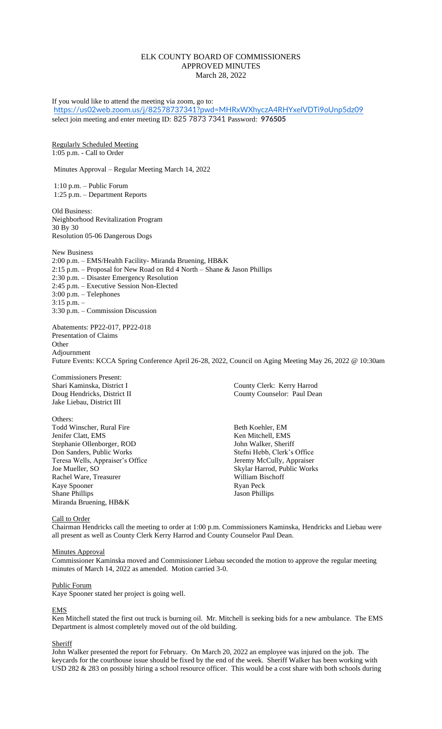# ELK COUNTY BOARD OF COMMISSIONERS APPROVED MINUTES March 28, 2022

If you would like to attend the meeting via zoom, go to: <https://us02web.zoom.us/j/82578737341?pwd=MHRxWXhyczA4RHYxelVDTi9oUnp5dz09> select join meeting and enter meeting ID: 825 7873 7341 Password: **976505** Regularly Scheduled Meeting 1:05 p.m. - Call to Order Minutes Approval – Regular Meeting March 14, 2022 1:10 p.m. – Public Forum 1:25 p.m. – Department Reports Old Business: Neighborhood Revitalization Program 30 By 30 Resolution 05-06 Dangerous Dogs New Business 2:00 p.m. – EMS/Health Facility- Miranda Bruening, HB&K 2:15 p.m. – Proposal for New Road on Rd 4 North – Shane & Jason Phillips 2:30 p.m. – Disaster Emergency Resolution 2:45 p.m. – Executive Session Non-Elected 3:00 p.m. – Telephones 3:15 p.m. – 3:30 p.m. – Commission Discussion Abatements: PP22-017, PP22-018 Presentation of Claims **Other** Adjournment

Future Events: KCCA Spring Conference April 26-28, 2022, Council on Aging Meeting May 26, 2022 @ 10:30am

Commissioners Present: Jake Liebau, District III

Others:

Todd Winscher, Rural Fire Beth Koehler, EM Jenifer Clatt, EMS Ken Mitchell, EMS Stephanie Ollenborger, ROD John Walker, Sheriff Don Sanders, Public Works Stefni Hebb, Clerk's Office Teresa Wells, Appraiser's Office Jeremy McCully, Appraiser<br>Joe Mueller, SO Skylar Harrod, Public Work Rachel Ware, Treasurer Kaye Spooner Ryan Peck<br>
Shane Phillips Shane Phillips Shane Phillips Shane Phillips Shane Phillips Shane Phillips Shane Phillips Shane Phillips Shane Phillips Shane Phillips Shane Phillips Shane Phillips Shane Phillips Sha Miranda Bruening, HB&K

Shari Kaminska, District I County Clerk: Kerry Harrod Doug Hendricks, District II County Counselor: Paul Dean

> Skylar Harrod, Public Works<br>William Bischoff Jason Phillips

Call to Order

Chairman Hendricks call the meeting to order at 1:00 p.m. Commissioners Kaminska, Hendricks and Liebau were all present as well as County Clerk Kerry Harrod and County Counselor Paul Dean.

### Minutes Approval

Commissioner Kaminska moved and Commissioner Liebau seconded the motion to approve the regular meeting minutes of March 14, 2022 as amended. Motion carried 3-0.

# Public Forum

Kaye Spooner stated her project is going well.

# EMS

Ken Mitchell stated the first out truck is burning oil. Mr. Mitchell is seeking bids for a new ambulance. The EMS Department is almost completely moved out of the old building.

# **Sheriff**

John Walker presented the report for February. On March 20, 2022 an employee was injured on the job. The keycards for the courthouse issue should be fixed by the end of the week. Sheriff Walker has been working with USD 282 & 283 on possibly hiring a school resource officer. This would be a cost share with both schools during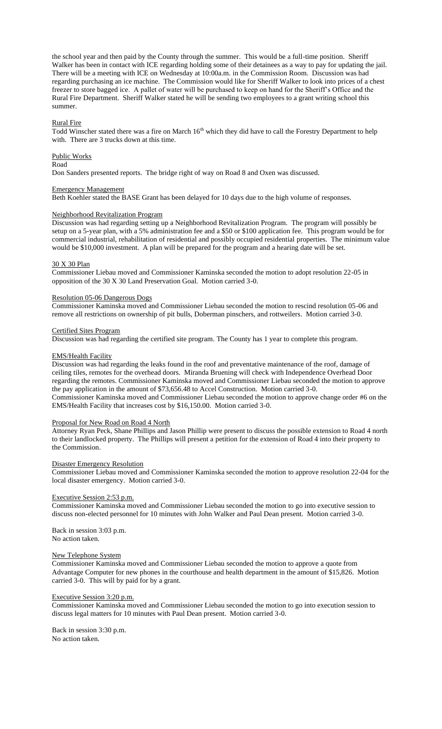the school year and then paid by the County through the summer. This would be a full-time position. Sheriff Walker has been in contact with ICE regarding holding some of their detainees as a way to pay for updating the jail. There will be a meeting with ICE on Wednesday at 10:00a.m. in the Commission Room. Discussion was had regarding purchasing an ice machine. The Commission would like for Sheriff Walker to look into prices of a chest freezer to store bagged ice. A pallet of water will be purchased to keep on hand for the Sheriff's Office and the Rural Fire Department. Sheriff Walker stated he will be sending two employees to a grant writing school this summer.

### Rural Fire

Todd Winscher stated there was a fire on March 16<sup>th</sup> which they did have to call the Forestry Department to help with. There are 3 trucks down at this time.

### Public Works

Road

Don Sanders presented reports. The bridge right of way on Road 8 and Oxen was discussed.

#### Emergency Management

Beth Koehler stated the BASE Grant has been delayed for 10 days due to the high volume of responses.

### Neighborhood Revitalization Program

Discussion was had regarding setting up a Neighborhood Revitalization Program. The program will possibly be setup on a 5-year plan, with a 5% administration fee and a \$50 or \$100 application fee. This program would be for commercial industrial, rehabilitation of residential and possibly occupied residential properties. The minimum value would be \$10,000 investment. A plan will be prepared for the program and a hearing date will be set.

### 30 X 30 Plan

Commissioner Liebau moved and Commissioner Kaminska seconded the motion to adopt resolution 22-05 in opposition of the 30 X 30 Land Preservation Goal. Motion carried 3-0.

#### Resolution 05-06 Dangerous Dogs

Commissioner Kaminska moved and Commissioner Liebau seconded the motion to rescind resolution 05-06 and remove all restrictions on ownership of pit bulls, Doberman pinschers, and rottweilers. Motion carried 3-0.

#### Certified Sites Program

Discussion was had regarding the certified site program. The County has 1 year to complete this program.

#### EMS/Health Facility

Discussion was had regarding the leaks found in the roof and preventative maintenance of the roof, damage of ceiling tiles, remotes for the overhead doors. Miranda Bruening will check with Independence Overhead Door regarding the remotes. Commissioner Kaminska moved and Commissioner Liebau seconded the motion to approve the pay application in the amount of \$73,656.48 to Accel Construction. Motion carried 3-0. Commissioner Kaminska moved and Commissioner Liebau seconded the motion to approve change order #6 on the EMS/Health Facility that increases cost by \$16,150.00. Motion carried 3-0.

### Proposal for New Road on Road 4 North

Attorney Ryan Peck, Shane Phillips and Jason Phillip were present to discuss the possible extension to Road 4 north to their landlocked property. The Phillips will present a petition for the extension of Road 4 into their property to the Commission.

#### Disaster Emergency Resolution

Commissioner Liebau moved and Commissioner Kaminska seconded the motion to approve resolution 22-04 for the local disaster emergency. Motion carried 3-0.

# Executive Session 2:53 p.m.

Commissioner Kaminska moved and Commissioner Liebau seconded the motion to go into executive session to discuss non-elected personnel for 10 minutes with John Walker and Paul Dean present. Motion carried 3-0.

Back in session 3:03 p.m. No action taken.

#### New Telephone System

Commissioner Kaminska moved and Commissioner Liebau seconded the motion to approve a quote from Advantage Computer for new phones in the courthouse and health department in the amount of \$15,826. Motion carried 3-0. This will by paid for by a grant.

#### Executive Session 3:20 p.m.

Commissioner Kaminska moved and Commissioner Liebau seconded the motion to go into execution session to discuss legal matters for 10 minutes with Paul Dean present. Motion carried 3-0.

Back in session 3:30 p.m. No action taken.